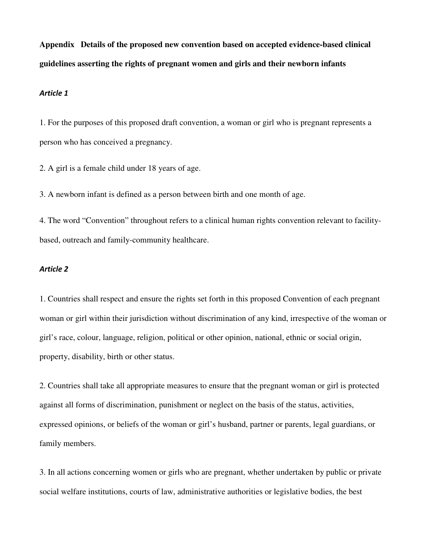**Appendix Details of the proposed new convention based on accepted evidence-based clinical guidelines asserting the rights of pregnant women and girls and their newborn infants**

### Article 1

1. For the purposes of this proposed draft convention, a woman or girl who is pregnant represents a person who has conceived a pregnancy.

2. A girl is a female child under 18 years of age.

3. A newborn infant is defined as a person between birth and one month of age.

4. The word "Convention" throughout refers to a clinical human rights convention relevant to facilitybased, outreach and family-community healthcare.

## Article 2

1. Countries shall respect and ensure the rights set forth in this proposed Convention of each pregnant woman or girl within their jurisdiction without discrimination of any kind, irrespective of the woman or girl's race, colour, language, religion, political or other opinion, national, ethnic or social origin, property, disability, birth or other status.

2. Countries shall take all appropriate measures to ensure that the pregnant woman or girl is protected against all forms of discrimination, punishment or neglect on the basis of the status, activities, expressed opinions, or beliefs of the woman or girl's husband, partner or parents, legal guardians, or family members.

3. In all actions concerning women or girls who are pregnant, whether undertaken by public or private social welfare institutions, courts of law, administrative authorities or legislative bodies, the best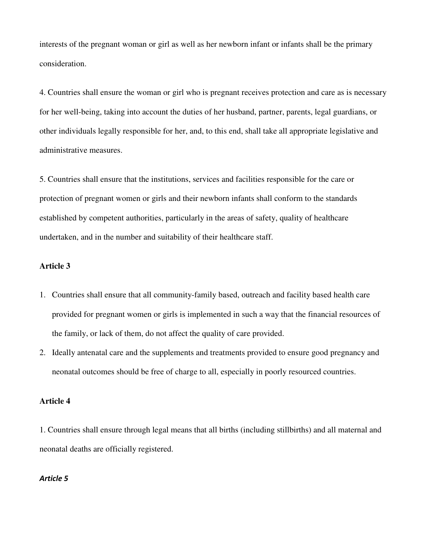interests of the pregnant woman or girl as well as her newborn infant or infants shall be the primary consideration.

4. Countries shall ensure the woman or girl who is pregnant receives protection and care as is necessary for her well-being, taking into account the duties of her husband, partner, parents, legal guardians, or other individuals legally responsible for her, and, to this end, shall take all appropriate legislative and administrative measures.

5. Countries shall ensure that the institutions, services and facilities responsible for the care or protection of pregnant women or girls and their newborn infants shall conform to the standards established by competent authorities, particularly in the areas of safety, quality of healthcare undertaken, and in the number and suitability of their healthcare staff.

## **Article 3**

- 1. Countries shall ensure that all community-family based, outreach and facility based health care provided for pregnant women or girls is implemented in such a way that the financial resources of the family, or lack of them, do not affect the quality of care provided.
- 2. Ideally antenatal care and the supplements and treatments provided to ensure good pregnancy and neonatal outcomes should be free of charge to all, especially in poorly resourced countries.

## **Article 4**

1. Countries shall ensure through legal means that all births (including stillbirths) and all maternal and neonatal deaths are officially registered.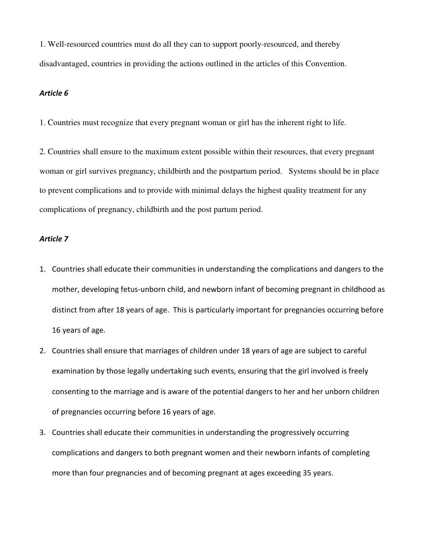1. Well-resourced countries must do all they can to support poorly-resourced, and thereby disadvantaged, countries in providing the actions outlined in the articles of this Convention.

## Article 6

1. Countries must recognize that every pregnant woman or girl has the inherent right to life.

2. Countries shall ensure to the maximum extent possible within their resources, that every pregnant woman or girl survives pregnancy, childbirth and the postpartum period. Systems should be in place to prevent complications and to provide with minimal delays the highest quality treatment for any complications of pregnancy, childbirth and the post partum period.

- 1. Countries shall educate their communities in understanding the complications and dangers to the mother, developing fetus-unborn child, and newborn infant of becoming pregnant in childhood as distinct from after 18 years of age. This is particularly important for pregnancies occurring before 16 years of age.
- 2. Countries shall ensure that marriages of children under 18 years of age are subject to careful examination by those legally undertaking such events, ensuring that the girl involved is freely consenting to the marriage and is aware of the potential dangers to her and her unborn children of pregnancies occurring before 16 years of age.
- 3. Countries shall educate their communities in understanding the progressively occurring complications and dangers to both pregnant women and their newborn infants of completing more than four pregnancies and of becoming pregnant at ages exceeding 35 years.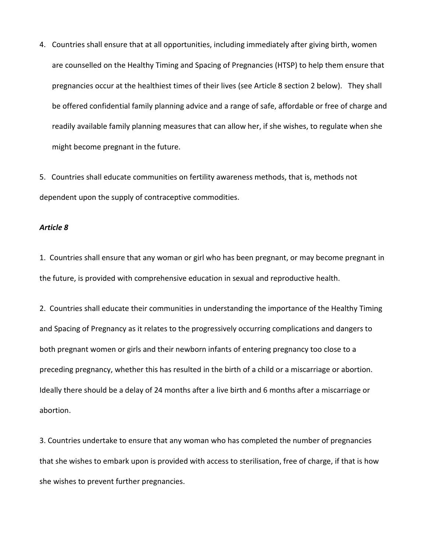4. Countries shall ensure that at all opportunities, including immediately after giving birth, women are counselled on the Healthy Timing and Spacing of Pregnancies (HTSP) to help them ensure that pregnancies occur at the healthiest times of their lives (see Article 8 section 2 below). They shall be offered confidential family planning advice and a range of safe, affordable or free of charge and readily available family planning measures that can allow her, if she wishes, to regulate when she might become pregnant in the future.

5. Countries shall educate communities on fertility awareness methods, that is, methods not dependent upon the supply of contraceptive commodities.

#### Article 8

1. Countries shall ensure that any woman or girl who has been pregnant, or may become pregnant in the future, is provided with comprehensive education in sexual and reproductive health.

2. Countries shall educate their communities in understanding the importance of the Healthy Timing and Spacing of Pregnancy as it relates to the progressively occurring complications and dangers to both pregnant women or girls and their newborn infants of entering pregnancy too close to a preceding pregnancy, whether this has resulted in the birth of a child or a miscarriage or abortion. Ideally there should be a delay of 24 months after a live birth and 6 months after a miscarriage or abortion.

3. Countries undertake to ensure that any woman who has completed the number of pregnancies that she wishes to embark upon is provided with access to sterilisation, free of charge, if that is how she wishes to prevent further pregnancies.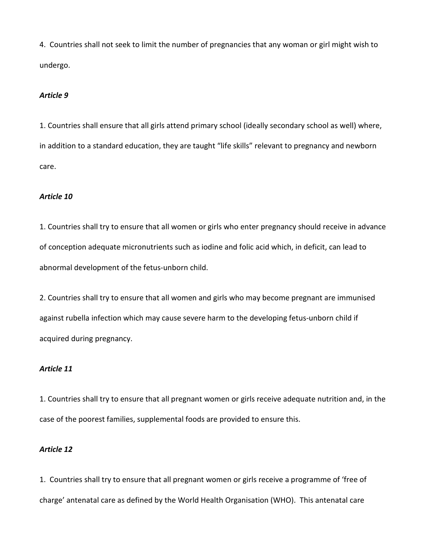4. Countries shall not seek to limit the number of pregnancies that any woman or girl might wish to undergo.

#### Article 9

1. Countries shall ensure that all girls attend primary school (ideally secondary school as well) where, in addition to a standard education, they are taught "life skills" relevant to pregnancy and newborn care.

## Article 10

1. Countries shall try to ensure that all women or girls who enter pregnancy should receive in advance of conception adequate micronutrients such as iodine and folic acid which, in deficit, can lead to abnormal development of the fetus-unborn child.

2. Countries shall try to ensure that all women and girls who may become pregnant are immunised against rubella infection which may cause severe harm to the developing fetus-unborn child if acquired during pregnancy.

## Article 11

1. Countries shall try to ensure that all pregnant women or girls receive adequate nutrition and, in the case of the poorest families, supplemental foods are provided to ensure this.

#### Article 12

1. Countries shall try to ensure that all pregnant women or girls receive a programme of 'free of charge' antenatal care as defined by the World Health Organisation (WHO). This antenatal care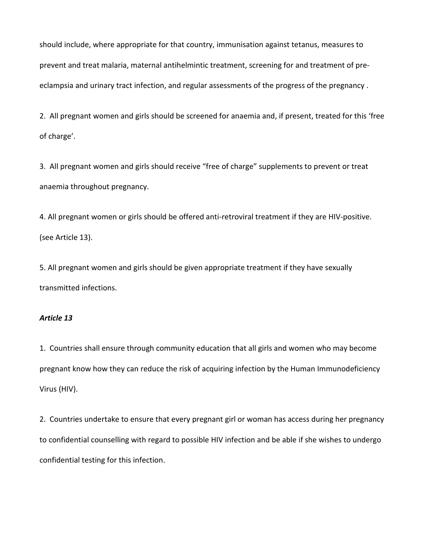should include, where appropriate for that country, immunisation against tetanus, measures to prevent and treat malaria, maternal antihelmintic treatment, screening for and treatment of preeclampsia and urinary tract infection, and regular assessments of the progress of the pregnancy .

2. All pregnant women and girls should be screened for anaemia and, if present, treated for this 'free of charge'.

3. All pregnant women and girls should receive "free of charge" supplements to prevent or treat anaemia throughout pregnancy.

4. All pregnant women or girls should be offered anti-retroviral treatment if they are HIV-positive. (see Article 13).

5. All pregnant women and girls should be given appropriate treatment if they have sexually transmitted infections.

### Article 13

1. Countries shall ensure through community education that all girls and women who may become pregnant know how they can reduce the risk of acquiring infection by the Human Immunodeficiency Virus (HIV).

2. Countries undertake to ensure that every pregnant girl or woman has access during her pregnancy to confidential counselling with regard to possible HIV infection and be able if she wishes to undergo confidential testing for this infection.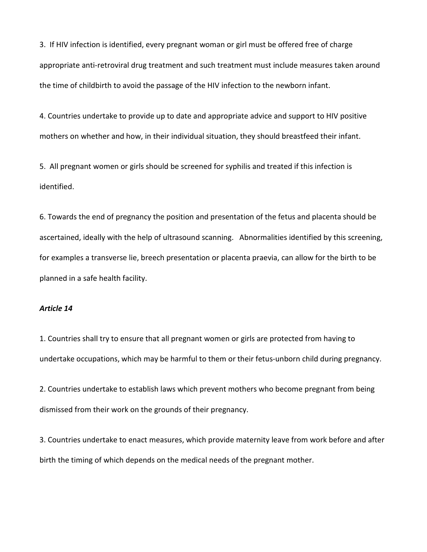3. If HIV infection is identified, every pregnant woman or girl must be offered free of charge appropriate anti-retroviral drug treatment and such treatment must include measures taken around the time of childbirth to avoid the passage of the HIV infection to the newborn infant.

4. Countries undertake to provide up to date and appropriate advice and support to HIV positive mothers on whether and how, in their individual situation, they should breastfeed their infant.

5. All pregnant women or girls should be screened for syphilis and treated if this infection is identified.

6. Towards the end of pregnancy the position and presentation of the fetus and placenta should be ascertained, ideally with the help of ultrasound scanning. Abnormalities identified by this screening, for examples a transverse lie, breech presentation or placenta praevia, can allow for the birth to be planned in a safe health facility.

### Article 14

1. Countries shall try to ensure that all pregnant women or girls are protected from having to undertake occupations, which may be harmful to them or their fetus-unborn child during pregnancy.

2. Countries undertake to establish laws which prevent mothers who become pregnant from being dismissed from their work on the grounds of their pregnancy.

3. Countries undertake to enact measures, which provide maternity leave from work before and after birth the timing of which depends on the medical needs of the pregnant mother.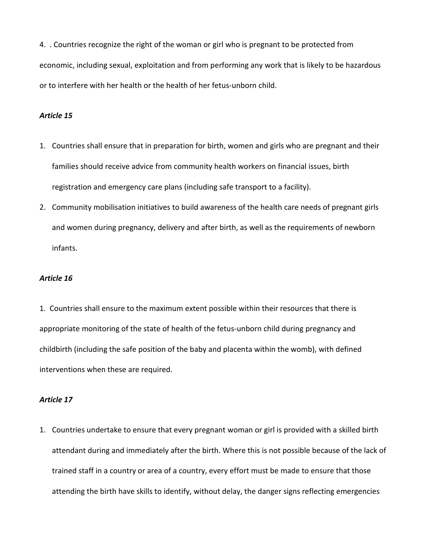4. . Countries recognize the right of the woman or girl who is pregnant to be protected from economic, including sexual, exploitation and from performing any work that is likely to be hazardous or to interfere with her health or the health of her fetus-unborn child.

### Article 15

- 1. Countries shall ensure that in preparation for birth, women and girls who are pregnant and their families should receive advice from community health workers on financial issues, birth registration and emergency care plans (including safe transport to a facility).
- 2. Community mobilisation initiatives to build awareness of the health care needs of pregnant girls and women during pregnancy, delivery and after birth, as well as the requirements of newborn infants.

#### Article 16

1. Countries shall ensure to the maximum extent possible within their resources that there is appropriate monitoring of the state of health of the fetus-unborn child during pregnancy and childbirth (including the safe position of the baby and placenta within the womb), with defined interventions when these are required.

#### Article 17

1. Countries undertake to ensure that every pregnant woman or girl is provided with a skilled birth attendant during and immediately after the birth. Where this is not possible because of the lack of trained staff in a country or area of a country, every effort must be made to ensure that those attending the birth have skills to identify, without delay, the danger signs reflecting emergencies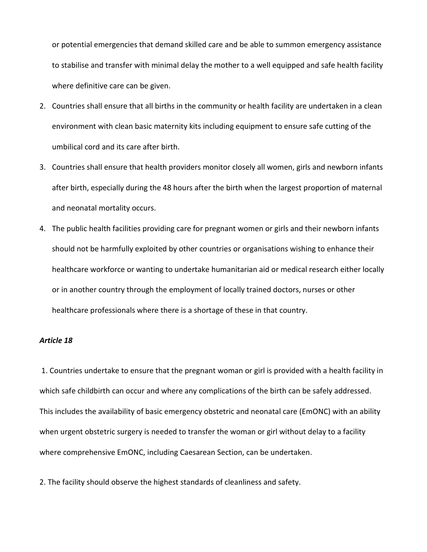or potential emergencies that demand skilled care and be able to summon emergency assistance to stabilise and transfer with minimal delay the mother to a well equipped and safe health facility where definitive care can be given.

- 2. Countries shall ensure that all births in the community or health facility are undertaken in a clean environment with clean basic maternity kits including equipment to ensure safe cutting of the umbilical cord and its care after birth.
- 3. Countries shall ensure that health providers monitor closely all women, girls and newborn infants after birth, especially during the 48 hours after the birth when the largest proportion of maternal and neonatal mortality occurs.
- 4. The public health facilities providing care for pregnant women or girls and their newborn infants should not be harmfully exploited by other countries or organisations wishing to enhance their healthcare workforce or wanting to undertake humanitarian aid or medical research either locally or in another country through the employment of locally trained doctors, nurses or other healthcare professionals where there is a shortage of these in that country.

#### Article 18

 1. Countries undertake to ensure that the pregnant woman or girl is provided with a health facility in which safe childbirth can occur and where any complications of the birth can be safely addressed. This includes the availability of basic emergency obstetric and neonatal care (EmONC) with an ability when urgent obstetric surgery is needed to transfer the woman or girl without delay to a facility where comprehensive EmONC, including Caesarean Section, can be undertaken.

2. The facility should observe the highest standards of cleanliness and safety.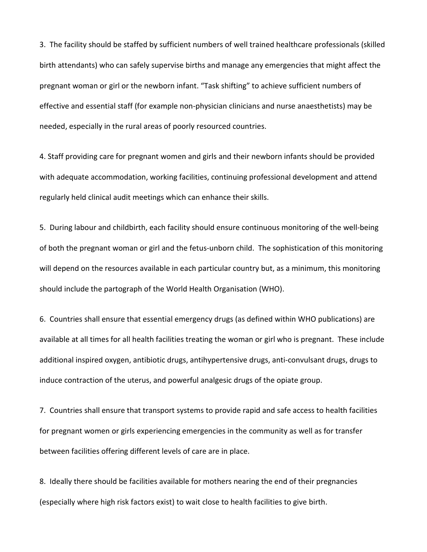3. The facility should be staffed by sufficient numbers of well trained healthcare professionals (skilled birth attendants) who can safely supervise births and manage any emergencies that might affect the pregnant woman or girl or the newborn infant. "Task shifting" to achieve sufficient numbers of effective and essential staff (for example non-physician clinicians and nurse anaesthetists) may be needed, especially in the rural areas of poorly resourced countries.

4. Staff providing care for pregnant women and girls and their newborn infants should be provided with adequate accommodation, working facilities, continuing professional development and attend regularly held clinical audit meetings which can enhance their skills.

5. During labour and childbirth, each facility should ensure continuous monitoring of the well-being of both the pregnant woman or girl and the fetus-unborn child. The sophistication of this monitoring will depend on the resources available in each particular country but, as a minimum, this monitoring should include the partograph of the World Health Organisation (WHO).

6. Countries shall ensure that essential emergency drugs (as defined within WHO publications) are available at all times for all health facilities treating the woman or girl who is pregnant. These include additional inspired oxygen, antibiotic drugs, antihypertensive drugs, anti-convulsant drugs, drugs to induce contraction of the uterus, and powerful analgesic drugs of the opiate group.

7. Countries shall ensure that transport systems to provide rapid and safe access to health facilities for pregnant women or girls experiencing emergencies in the community as well as for transfer between facilities offering different levels of care are in place.

8. Ideally there should be facilities available for mothers nearing the end of their pregnancies (especially where high risk factors exist) to wait close to health facilities to give birth.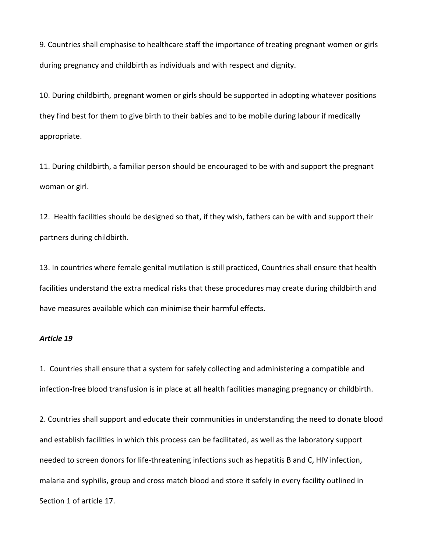9. Countries shall emphasise to healthcare staff the importance of treating pregnant women or girls during pregnancy and childbirth as individuals and with respect and dignity.

10. During childbirth, pregnant women or girls should be supported in adopting whatever positions they find best for them to give birth to their babies and to be mobile during labour if medically appropriate.

11. During childbirth, a familiar person should be encouraged to be with and support the pregnant woman or girl.

12. Health facilities should be designed so that, if they wish, fathers can be with and support their partners during childbirth.

13. In countries where female genital mutilation is still practiced, Countries shall ensure that health facilities understand the extra medical risks that these procedures may create during childbirth and have measures available which can minimise their harmful effects.

#### Article 19

1. Countries shall ensure that a system for safely collecting and administering a compatible and infection-free blood transfusion is in place at all health facilities managing pregnancy or childbirth.

2. Countries shall support and educate their communities in understanding the need to donate blood and establish facilities in which this process can be facilitated, as well as the laboratory support needed to screen donors for life-threatening infections such as hepatitis B and C, HIV infection, malaria and syphilis, group and cross match blood and store it safely in every facility outlined in Section 1 of article 17.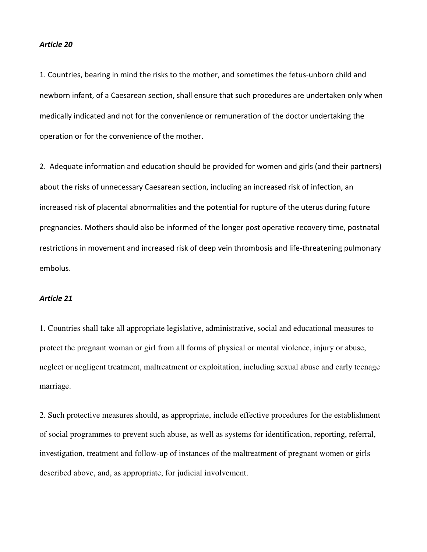#### Article 20

1. Countries, bearing in mind the risks to the mother, and sometimes the fetus-unborn child and newborn infant, of a Caesarean section, shall ensure that such procedures are undertaken only when medically indicated and not for the convenience or remuneration of the doctor undertaking the operation or for the convenience of the mother.

2. Adequate information and education should be provided for women and girls (and their partners) about the risks of unnecessary Caesarean section, including an increased risk of infection, an increased risk of placental abnormalities and the potential for rupture of the uterus during future pregnancies. Mothers should also be informed of the longer post operative recovery time, postnatal restrictions in movement and increased risk of deep vein thrombosis and life-threatening pulmonary embolus.

### Article 21

1. Countries shall take all appropriate legislative, administrative, social and educational measures to protect the pregnant woman or girl from all forms of physical or mental violence, injury or abuse, neglect or negligent treatment, maltreatment or exploitation, including sexual abuse and early teenage marriage.

2. Such protective measures should, as appropriate, include effective procedures for the establishment of social programmes to prevent such abuse, as well as systems for identification, reporting, referral, investigation, treatment and follow-up of instances of the maltreatment of pregnant women or girls described above, and, as appropriate, for judicial involvement.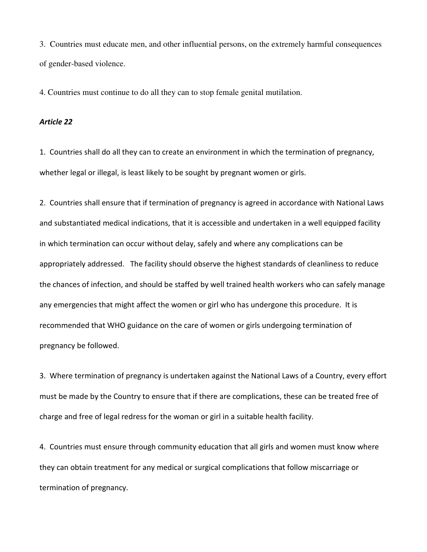3. Countries must educate men, and other influential persons, on the extremely harmful consequences of gender-based violence.

4. Countries must continue to do all they can to stop female genital mutilation.

### Article 22

1. Countries shall do all they can to create an environment in which the termination of pregnancy, whether legal or illegal, is least likely to be sought by pregnant women or girls.

2. Countries shall ensure that if termination of pregnancy is agreed in accordance with National Laws and substantiated medical indications, that it is accessible and undertaken in a well equipped facility in which termination can occur without delay, safely and where any complications can be appropriately addressed. The facility should observe the highest standards of cleanliness to reduce the chances of infection, and should be staffed by well trained health workers who can safely manage any emergencies that might affect the women or girl who has undergone this procedure. It is recommended that WHO guidance on the care of women or girls undergoing termination of pregnancy be followed.

3. Where termination of pregnancy is undertaken against the National Laws of a Country, every effort must be made by the Country to ensure that if there are complications, these can be treated free of charge and free of legal redress for the woman or girl in a suitable health facility.

4. Countries must ensure through community education that all girls and women must know where they can obtain treatment for any medical or surgical complications that follow miscarriage or termination of pregnancy.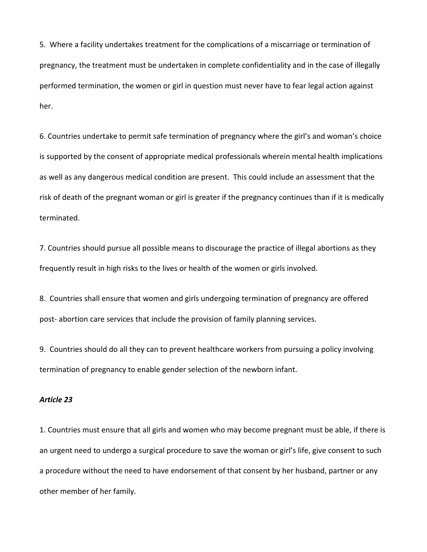5. Where a facility undertakes treatment for the complications of a miscarriage or termination of pregnancy, the treatment must be undertaken in complete confidentiality and in the case of illegally performed termination, the women or girl in question must never have to fear legal action against her.

6. Countries undertake to permit safe termination of pregnancy where the girl's and woman's choice is supported by the consent of appropriate medical professionals wherein mental health implications as well as any dangerous medical condition are present. This could include an assessment that the risk of death of the pregnant woman or girl is greater if the pregnancy continues than if it is medically terminated.

7. Countries should pursue all possible means to discourage the practice of illegal abortions as they frequently result in high risks to the lives or health of the women or girls involved.

8. Countries shall ensure that women and girls undergoing termination of pregnancy are offered post- abortion care services that include the provision of family planning services.

9. Countries should do all they can to prevent healthcare workers from pursuing a policy involving termination of pregnancy to enable gender selection of the newborn infant.

#### Article 23

1. Countries must ensure that all girls and women who may become pregnant must be able, if there is an urgent need to undergo a surgical procedure to save the woman or girl's life, give consent to such a procedure without the need to have endorsement of that consent by her husband, partner or any other member of her family.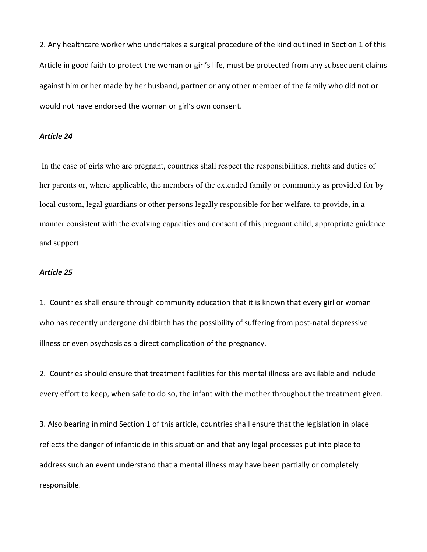2. Any healthcare worker who undertakes a surgical procedure of the kind outlined in Section 1 of this Article in good faith to protect the woman or girl's life, must be protected from any subsequent claims against him or her made by her husband, partner or any other member of the family who did not or would not have endorsed the woman or girl's own consent.

#### Article 24

 In the case of girls who are pregnant, countries shall respect the responsibilities, rights and duties of her parents or, where applicable, the members of the extended family or community as provided for by local custom, legal guardians or other persons legally responsible for her welfare, to provide, in a manner consistent with the evolving capacities and consent of this pregnant child, appropriate guidance and support.

#### Article 25

1. Countries shall ensure through community education that it is known that every girl or woman who has recently undergone childbirth has the possibility of suffering from post-natal depressive illness or even psychosis as a direct complication of the pregnancy.

2. Countries should ensure that treatment facilities for this mental illness are available and include every effort to keep, when safe to do so, the infant with the mother throughout the treatment given.

3. Also bearing in mind Section 1 of this article, countries shall ensure that the legislation in place reflects the danger of infanticide in this situation and that any legal processes put into place to address such an event understand that a mental illness may have been partially or completely responsible.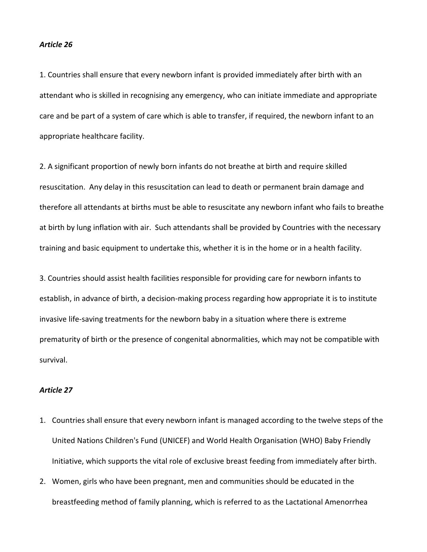#### Article 26

1. Countries shall ensure that every newborn infant is provided immediately after birth with an attendant who is skilled in recognising any emergency, who can initiate immediate and appropriate care and be part of a system of care which is able to transfer, if required, the newborn infant to an appropriate healthcare facility.

2. A significant proportion of newly born infants do not breathe at birth and require skilled resuscitation. Any delay in this resuscitation can lead to death or permanent brain damage and therefore all attendants at births must be able to resuscitate any newborn infant who fails to breathe at birth by lung inflation with air. Such attendants shall be provided by Countries with the necessary training and basic equipment to undertake this, whether it is in the home or in a health facility.

3. Countries should assist health facilities responsible for providing care for newborn infants to establish, in advance of birth, a decision-making process regarding how appropriate it is to institute invasive life-saving treatments for the newborn baby in a situation where there is extreme prematurity of birth or the presence of congenital abnormalities, which may not be compatible with survival.

- 1. Countries shall ensure that every newborn infant is managed according to the twelve steps of the United Nations Children's Fund (UNICEF) and World Health Organisation (WHO) Baby Friendly Initiative, which supports the vital role of exclusive breast feeding from immediately after birth.
- 2. Women, girls who have been pregnant, men and communities should be educated in the breastfeeding method of family planning, which is referred to as the Lactational Amenorrhea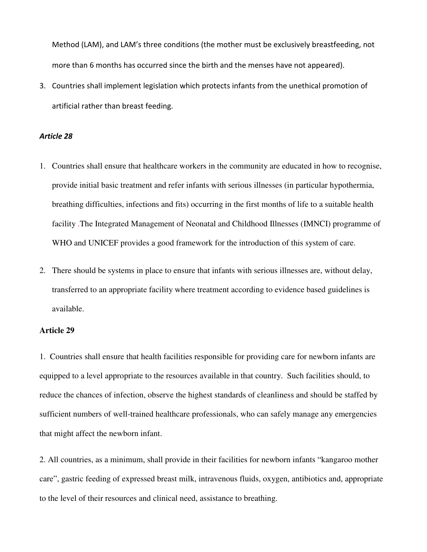Method (LAM), and LAM's three conditions (the mother must be exclusively breastfeeding, not more than 6 months has occurred since the birth and the menses have not appeared).

3. Countries shall implement legislation which protects infants from the unethical promotion of artificial rather than breast feeding.

### Article 28

- 1. Countries shall ensure that healthcare workers in the community are educated in how to recognise, provide initial basic treatment and refer infants with serious illnesses (in particular hypothermia, breathing difficulties, infections and fits) occurring in the first months of life to a suitable health facility .The Integrated Management of Neonatal and Childhood Illnesses (IMNCI) programme of WHO and UNICEF provides a good framework for the introduction of this system of care.
- 2. There should be systems in place to ensure that infants with serious illnesses are, without delay, transferred to an appropriate facility where treatment according to evidence based guidelines is available.

### **Article 29**

1. Countries shall ensure that health facilities responsible for providing care for newborn infants are equipped to a level appropriate to the resources available in that country. Such facilities should, to reduce the chances of infection, observe the highest standards of cleanliness and should be staffed by sufficient numbers of well-trained healthcare professionals, who can safely manage any emergencies that might affect the newborn infant.

2. All countries, as a minimum, shall provide in their facilities for newborn infants "kangaroo mother care", gastric feeding of expressed breast milk, intravenous fluids, oxygen, antibiotics and, appropriate to the level of their resources and clinical need, assistance to breathing.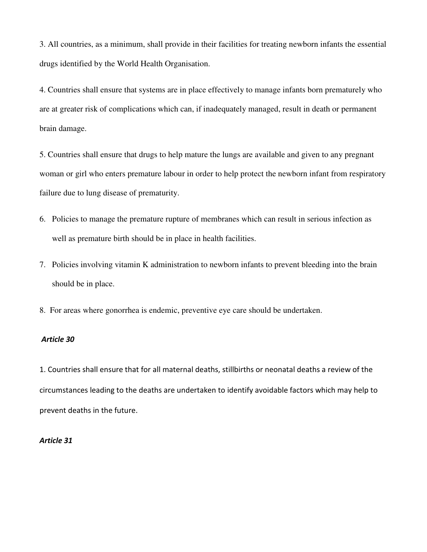3. All countries, as a minimum, shall provide in their facilities for treating newborn infants the essential drugs identified by the World Health Organisation.

4. Countries shall ensure that systems are in place effectively to manage infants born prematurely who are at greater risk of complications which can, if inadequately managed, result in death or permanent brain damage.

5. Countries shall ensure that drugs to help mature the lungs are available and given to any pregnant woman or girl who enters premature labour in order to help protect the newborn infant from respiratory failure due to lung disease of prematurity.

- 6. Policies to manage the premature rupture of membranes which can result in serious infection as well as premature birth should be in place in health facilities.
- 7. Policies involving vitamin K administration to newborn infants to prevent bleeding into the brain should be in place.
- 8. For areas where gonorrhea is endemic, preventive eye care should be undertaken.

#### Article 30

1. Countries shall ensure that for all maternal deaths, stillbirths or neonatal deaths a review of the circumstances leading to the deaths are undertaken to identify avoidable factors which may help to prevent deaths in the future.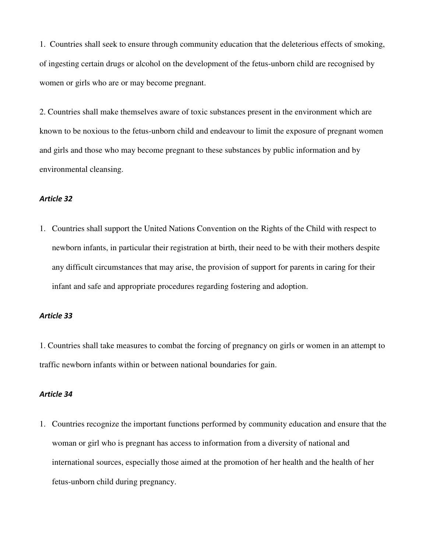1. Countries shall seek to ensure through community education that the deleterious effects of smoking, of ingesting certain drugs or alcohol on the development of the fetus-unborn child are recognised by women or girls who are or may become pregnant.

2. Countries shall make themselves aware of toxic substances present in the environment which are known to be noxious to the fetus-unborn child and endeavour to limit the exposure of pregnant women and girls and those who may become pregnant to these substances by public information and by environmental cleansing.

#### Article 32

1. Countries shall support the United Nations Convention on the Rights of the Child with respect to newborn infants, in particular their registration at birth, their need to be with their mothers despite any difficult circumstances that may arise, the provision of support for parents in caring for their infant and safe and appropriate procedures regarding fostering and adoption.

### Article 33

1. Countries shall take measures to combat the forcing of pregnancy on girls or women in an attempt to traffic newborn infants within or between national boundaries for gain.

#### Article 34

1. Countries recognize the important functions performed by community education and ensure that the woman or girl who is pregnant has access to information from a diversity of national and international sources, especially those aimed at the promotion of her health and the health of her fetus-unborn child during pregnancy.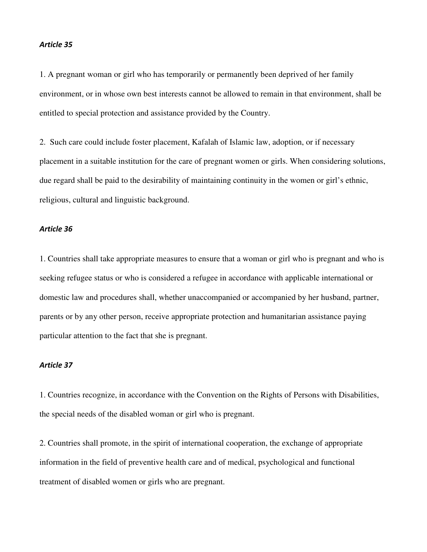#### Article 35

1. A pregnant woman or girl who has temporarily or permanently been deprived of her family environment, or in whose own best interests cannot be allowed to remain in that environment, shall be entitled to special protection and assistance provided by the Country.

2. Such care could include foster placement, Kafalah of Islamic law, adoption, or if necessary placement in a suitable institution for the care of pregnant women or girls. When considering solutions, due regard shall be paid to the desirability of maintaining continuity in the women or girl's ethnic, religious, cultural and linguistic background.

#### Article 36

1. Countries shall take appropriate measures to ensure that a woman or girl who is pregnant and who is seeking refugee status or who is considered a refugee in accordance with applicable international or domestic law and procedures shall, whether unaccompanied or accompanied by her husband, partner, parents or by any other person, receive appropriate protection and humanitarian assistance paying particular attention to the fact that she is pregnant.

### Article 37

1. Countries recognize, in accordance with the Convention on the Rights of Persons with Disabilities, the special needs of the disabled woman or girl who is pregnant.

2. Countries shall promote, in the spirit of international cooperation, the exchange of appropriate information in the field of preventive health care and of medical, psychological and functional treatment of disabled women or girls who are pregnant.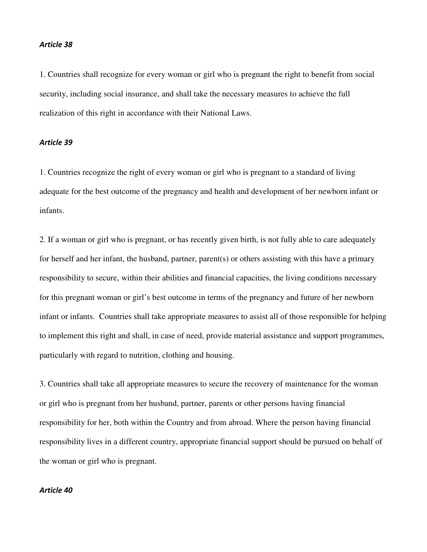#### Article 38

1. Countries shall recognize for every woman or girl who is pregnant the right to benefit from social security, including social insurance, and shall take the necessary measures to achieve the full realization of this right in accordance with their National Laws.

### Article 39

1. Countries recognize the right of every woman or girl who is pregnant to a standard of living adequate for the best outcome of the pregnancy and health and development of her newborn infant or infants.

2. If a woman or girl who is pregnant, or has recently given birth, is not fully able to care adequately for herself and her infant, the husband, partner, parent(s) or others assisting with this have a primary responsibility to secure, within their abilities and financial capacities, the living conditions necessary for this pregnant woman or girl's best outcome in terms of the pregnancy and future of her newborn infant or infants. Countries shall take appropriate measures to assist all of those responsible for helping to implement this right and shall, in case of need, provide material assistance and support programmes, particularly with regard to nutrition, clothing and housing.

3. Countries shall take all appropriate measures to secure the recovery of maintenance for the woman or girl who is pregnant from her husband, partner, parents or other persons having financial responsibility for her, both within the Country and from abroad. Where the person having financial responsibility lives in a different country, appropriate financial support should be pursued on behalf of the woman or girl who is pregnant.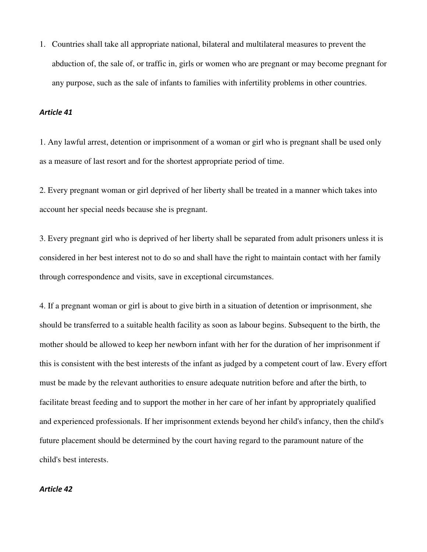1. Countries shall take all appropriate national, bilateral and multilateral measures to prevent the abduction of, the sale of, or traffic in, girls or women who are pregnant or may become pregnant for any purpose, such as the sale of infants to families with infertility problems in other countries.

#### Article 41

1. Any lawful arrest, detention or imprisonment of a woman or girl who is pregnant shall be used only as a measure of last resort and for the shortest appropriate period of time.

2. Every pregnant woman or girl deprived of her liberty shall be treated in a manner which takes into account her special needs because she is pregnant.

3. Every pregnant girl who is deprived of her liberty shall be separated from adult prisoners unless it is considered in her best interest not to do so and shall have the right to maintain contact with her family through correspondence and visits, save in exceptional circumstances.

4. If a pregnant woman or girl is about to give birth in a situation of detention or imprisonment, she should be transferred to a suitable health facility as soon as labour begins. Subsequent to the birth, the mother should be allowed to keep her newborn infant with her for the duration of her imprisonment if this is consistent with the best interests of the infant as judged by a competent court of law. Every effort must be made by the relevant authorities to ensure adequate nutrition before and after the birth, to facilitate breast feeding and to support the mother in her care of her infant by appropriately qualified and experienced professionals. If her imprisonment extends beyond her child's infancy, then the child's future placement should be determined by the court having regard to the paramount nature of the child's best interests.